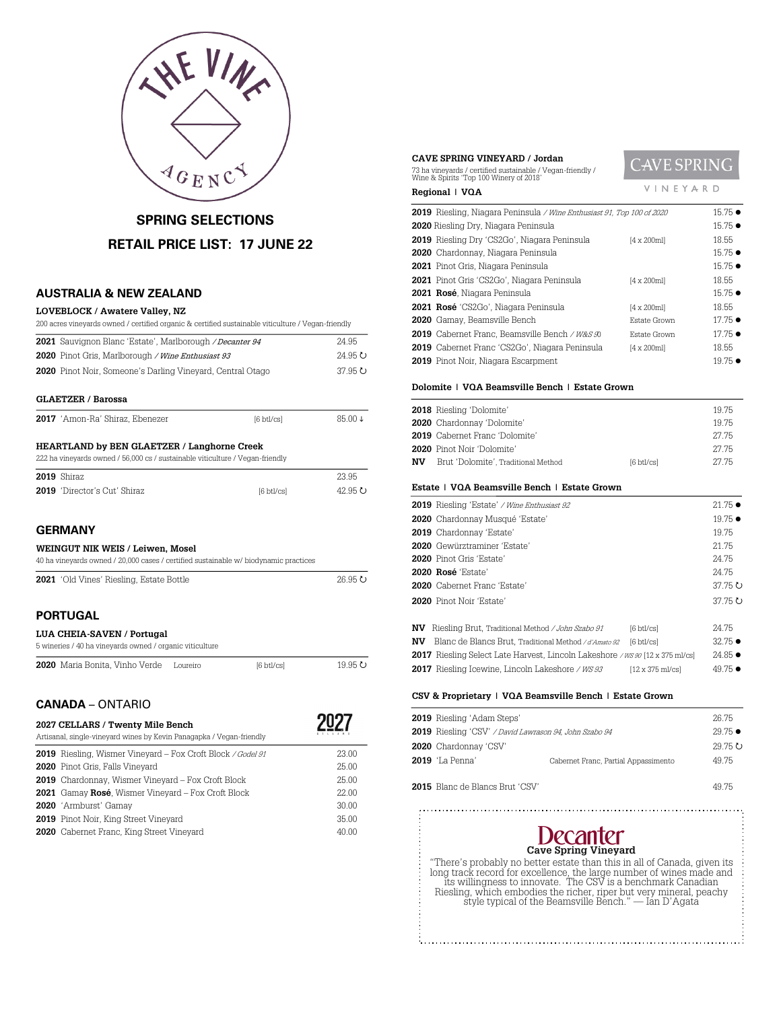

# **SPRING SELECTIONS RETAIL PRICE LIST: 17 JUNE 22**

### **AUSTRALIA & NEW ZEALAND**

#### **LOVEBLOCK / Awatere Valley, NZ**

| 200 acres vineyards owned / certified organic & certified sustainable viticulture / Vegan-friendly |                 |
|----------------------------------------------------------------------------------------------------|-----------------|
| <b>2021</b> Sauvignon Blanc 'Estate', Marlborough / Decanter 94                                    | 24.95           |
| 2020 Pinot Gris, Marlborough / Wine Enthusiast 93                                                  | $24.95$ $\circ$ |
| <b>2020</b> Pinot Noir, Someone's Darling Vinevard, Central Otago                                  | 37.95 $\sigma$  |
|                                                                                                    |                 |

#### **GLAETZER / Barossa**

| <b>2017</b> 'Amon-Ra' Shiraz, Ebenezer<br>85.00 ↓<br>$6 \text{ btl/csl}$ |
|--------------------------------------------------------------------------|
|--------------------------------------------------------------------------|

#### **HEARTLAND by BEN GLAETZER / Langhorne Creek**

| 222 ha vinevards owned / 56,000 cs / sustainable viticulture / Vegan-friendly |                     |         |
|-------------------------------------------------------------------------------|---------------------|---------|
| <b>2019</b> Shiraz                                                            |                     | 23.95   |
| <b>2019</b> 'Director's Cut' Shiraz                                           | $6 \text{ btl/csl}$ | 42.95 U |

### **GERMANY**

#### **WEINGUT NIK WEIS / Leiwen, Mosel**

|  |  |  |  | 40 ha vineyards owned / 20,000 cases / certified sustainable w/ biodynamic practices |  |
|--|--|--|--|--------------------------------------------------------------------------------------|--|
|--|--|--|--|--------------------------------------------------------------------------------------|--|

| <b>2021</b> 'Old Vines' Riesling, Estate Bottle<br>$26.95$ $\circ$ |  |
|--------------------------------------------------------------------|--|
|--------------------------------------------------------------------|--|

### **PORTUGAL**

### **LUA CHEIA-SAVEN / Portugal**

| 5 wineries / 40 ha vineyards owned / organic viticulture |          |                     |         |
|----------------------------------------------------------|----------|---------------------|---------|
| <b>2020</b> Maria Bonita. Vinho Verde                    | Loureiro | $6 \text{ btl/csl}$ | 19.95 U |

 $\sim$ 

### **CANADA** – ONTARIO

| 2027 CELLARS / Twenty Mile Bench<br>Artisanal, single-vineyard wines by Kevin Panagapka / Vegan-friendly |       |
|----------------------------------------------------------------------------------------------------------|-------|
| 2019 Riesling, Wismer Vineyard - Fox Croft Block / Godel 91                                              | 23.00 |
| 2020 Pinot Gris, Falls Vineyard                                                                          | 25.00 |
| <b>2019</b> Chardonnay, Wismer Vineyard - Fox Croft Block                                                | 25.00 |
| <b>2021</b> Gamay Rosé, Wismer Vineyard – Fox Croft Block                                                | 22.00 |
| 2020 'Armburst' Gamay                                                                                    | 30.00 |
| <b>2019</b> Pinot Noir, King Street Vineyard                                                             | 35.00 |
| <b>2020</b> Cabernet Franc, King Street Vineyard                                                         | 40.00 |

#### **CAVE SPRING VINEYARD / Jordan**

ha vineyards / certified sustainable / Vegan-friendly / Wine & Spirits 'Top 100 Winery of 2018'

# CAVE SPRING VINEYARD

| Regional   VQA                                                         | INEYARD            |                 |
|------------------------------------------------------------------------|--------------------|-----------------|
| 2019 Riesling, Niagara Peninsula / Wine Enthusiast 91, Top 100 of 2020 |                    | $15.75 \bullet$ |
| 2020 Riesling Dry, Niagara Peninsula                                   |                    | 15.75 ●         |
| <b>2019</b> Riesling Dry 'CS2Go', Niagara Peninsula                    | $[4 \times 200$ ml | 18.55           |
| 2020 Chardonnay, Niagara Peninsula                                     |                    | 15.75 ●         |
| 2021 Pinot Gris, Niagara Peninsula                                     |                    | $15.75 \bullet$ |
| 2021 Pinot Gris 'CS2Go', Niagara Peninsula                             | $[4 \times 200$ ml | 18.55           |
| 2021 Rosé, Niagara Peninsula                                           |                    | 15.75 ●         |
| 2021 Rosé 'CS2Go', Niagara Peninsula                                   | $[4 \times 200$ ml | 18.55           |
| 2020 Gamay, Beamsville Bench                                           | Estate Grown       | $17.75 \bullet$ |
| 2019 Cabernet Franc, Beamsville Bench / W&S 90                         | Estate Grown       | 17.75 ●         |
| <b>2019</b> Cabernet Franc 'CS2Go', Niagara Peninsula                  | $[4 \times 200$ ml | 18.55           |
| 2019 Pinot Noir, Niagara Escarpment                                    |                    | $19.75 \bullet$ |

#### **Dolomite | VQA Beamsville Bench | Estate Grown**

|     | 2018 Riesling 'Dolomite'              |                      | 1975  |
|-----|---------------------------------------|----------------------|-------|
|     | 2020 Chardonnay 'Dolomite'            |                      | 1975  |
|     | <b>2019</b> Cabernet Franc 'Dolomite' |                      | 27.75 |
|     | 2020 Pinot Noir 'Dolomite'            |                      | 27.75 |
| NV. | Brut 'Dolomite', Traditional Method   | $[6 \text{ btl/cs}]$ | 2775  |
|     |                                       |                      |       |

#### **Estate | VQA Beamsville Bench | Estate Grown**

| 2019 Riesling 'Estate' / Wine Enthusiast 92                                           | $21.75 \bullet$ |
|---------------------------------------------------------------------------------------|-----------------|
| 2020 Chardonnay Musqué 'Estate'                                                       | $19.75 \bullet$ |
| 2019 Chardonnay 'Estate'                                                              | 19.75           |
| 2020 Gewürztraminer 'Estate'                                                          | 21.75           |
| 2020 Pinot Gris 'Estate'                                                              | 24.75           |
| 2020 Rosé 'Estate'                                                                    | 24.75           |
| <b>2020</b> Cabernet Franc 'Estate'                                                   | 37.75 O         |
| 2020 Pinot Noir 'Estate'                                                              | 37.75 O         |
| Riesling Brut, Traditional Method / John Szabo 91<br>NV.<br>$6 \text{ btl/csl}$       | 24.75           |
| Blanc de Blancs Brut, Traditional Method / d'Amato 92<br>NV<br>$6 \text{ btl}$ cs $1$ | $32.75 \bullet$ |
| <b>2017</b> Riesling Select Late Harvest, Lincoln Lakeshore /ws 90 [12 x 375 ml/cs]   | $24.85 \bullet$ |

# **2017** Riesling Icewine, Lincoln Lakeshore /  $WS 93$  [12 x 375 ml/cs] 49.75  $\bullet$

### **CSV & Proprietary | VQA Beamsville Bench | Estate Grown**

| <b>2019</b> Riesling 'Adam Steps'<br>2019 Riesling 'CSV' / David Lawrason 94, John Szabo 94 |                                      | 26.75<br>$29.75 \bullet$ |
|---------------------------------------------------------------------------------------------|--------------------------------------|--------------------------|
| 2020 Chardonnay 'CSV'<br><b>2019</b> 'La Penna'                                             | Cabernet Franc, Partial Appassimento | 29.75 ひ<br>49.75         |
| <b>2015</b> Blanc de Blancs Brut 'CSV'                                                      |                                      | 4975                     |



"There's probably no better estate than this in all of Canada, given its<br>long track record for excellence, the large number of wines made and<br>its willingness to innovate. The CSV is a benchmark Canadian<br>Riesling, which emb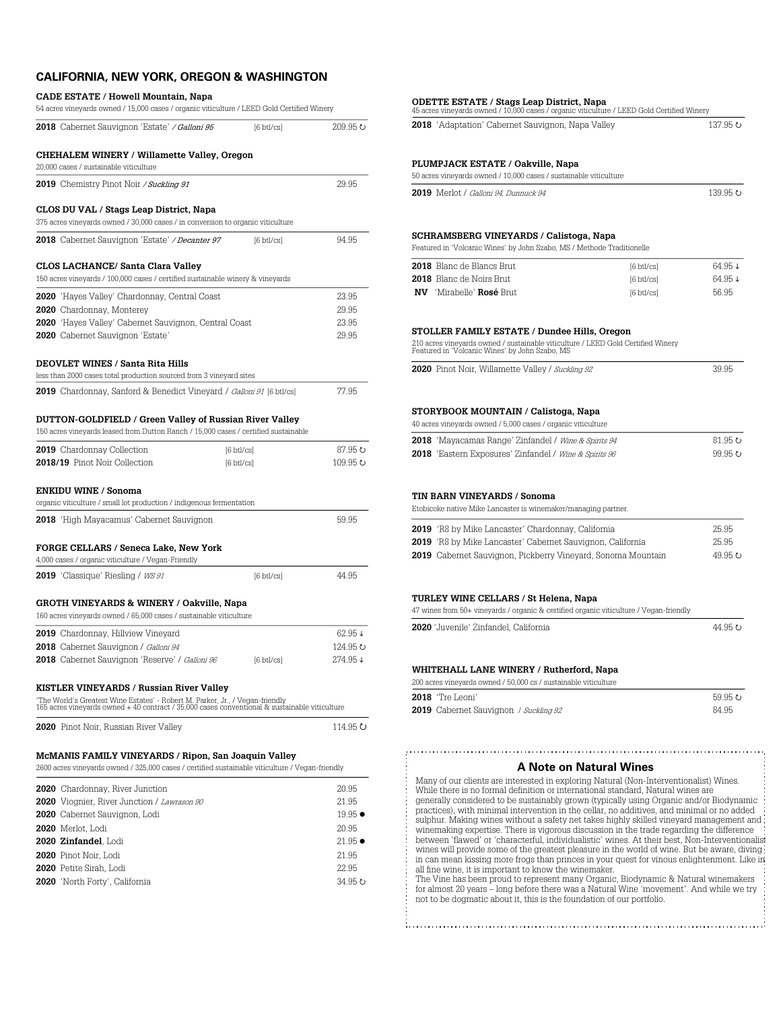### **CALIFORNIA, NEW YORK, OREGON & WASHINGTON**

| 2018 Cabernet Sauvignon 'Estate' / Galloni 95                                                                                                                                                                                        | $[6 \text{ btl/cs}]$ | 209.95 ひ            |
|--------------------------------------------------------------------------------------------------------------------------------------------------------------------------------------------------------------------------------------|----------------------|---------------------|
| CHEHALEM WINERY / Willamette Valley, Oregon<br>20,000 cases / sustainable viticulture                                                                                                                                                |                      |                     |
| 2019 Chemistry Pinot Noir / Suckling 91                                                                                                                                                                                              |                      | 29.95               |
| CLOS DU VAL / Stags Leap District, Napa<br>375 acres vineyards owned / 30,000 cases / in conversion to organic viticulture                                                                                                           |                      |                     |
| 2018 Cabernet Sauvignon 'Estate' <i>/ Decanter 97</i>                                                                                                                                                                                | $[6 \text{ btl/cs}]$ | 94.95               |
| CLOS LACHANCE/ Santa Clara Valley<br>150 acres vineyards / 100,000 cases / certified sustainable winery & vineyards                                                                                                                  |                      |                     |
| 2020 'Hayes Valley' Chardonnay, Central Coast                                                                                                                                                                                        |                      | 23.95               |
| 2020 Chardonnay, Monterey                                                                                                                                                                                                            |                      | 29.95               |
| 2020 'Hayes Valley' Cabernet Sauvignon, Central Coast                                                                                                                                                                                |                      | 23.95               |
| 2020 Cabernet Sauvignon 'Estate'                                                                                                                                                                                                     |                      | 29.95               |
| <b>DEOVLET WINES / Santa Rita Hills</b>                                                                                                                                                                                              |                      |                     |
| less than 2000 cases total production sourced from 3 vineyard sites                                                                                                                                                                  |                      |                     |
|                                                                                                                                                                                                                                      |                      |                     |
| <b>2019</b> Chardonnay, Sanford & Benedict Vineyard / <i>Galloni 91</i> [6 btl/cs]<br>DUTTON-GOLDFIELD / Green Valley of Russian River Valley<br>150 acres vineyards leased from Dutton Ranch / 15,000 cases / certified sustainable |                      | 77.95               |
| 2019 Chardonnay Collection                                                                                                                                                                                                           | $[6 \text{ btl/cs}]$ |                     |
| 2018/19 Pinot Noir Collection                                                                                                                                                                                                        | $[6 \text{ btl/cs}]$ | 87.95 U<br>109.95 ひ |
| <b>ENKIDU WINE / Sonoma</b>                                                                                                                                                                                                          |                      |                     |
| organic viticulture / small lot production / indigenous fermentation                                                                                                                                                                 |                      | 59.95               |
| 2018 'High Mayacamus' Cabernet Sauvignon                                                                                                                                                                                             |                      |                     |
| FORGE CELLARS / Seneca Lake, New York<br>4,000 cases / organic viticulture / Vegan-Friendly                                                                                                                                          |                      |                     |
| 2019 'Classique' Riesling / WS 91                                                                                                                                                                                                    | $[6 \text{ btl/cs}]$ | 44.95               |
| GROTH VINEYARDS & WINERY / Oakville, Napa                                                                                                                                                                                            |                      |                     |
| 160 acres vineyards owned / 65,000 cases / sustainable viticulture                                                                                                                                                                   |                      |                     |
| 2019 Chardonnay, Hillview Vineyard                                                                                                                                                                                                   |                      |                     |
| 2018 Cabernet Sauvignon / Galloni 94                                                                                                                                                                                                 |                      | 62.95↓<br>124.95 0  |
| 2018 Cabernet Sauvignon 'Reserve' / Galloni 96                                                                                                                                                                                       | $[6 \text{ btl/cs}]$ |                     |
| KISTLER VINEYARDS / Russian River Valley                                                                                                                                                                                             |                      | 274.95↓             |
| "The World's Greatest Wine Estates' - Robert M. Parker, Jr., / Vegan-friendly<br>165 acres vineyards owned + 40 contract / 35,000 cases conventional & sustainable viticulture                                                       |                      |                     |

| 2020 Chardonnay, River Junction                    | 20.95           |
|----------------------------------------------------|-----------------|
| <b>2020</b> Viognier, River Junction / Lawrason 90 | 21.95           |
| 2020 Cabernet Sauvignon, Lodi                      | $19.95 \bullet$ |
| 2020 Merlot. Lodi                                  | 20.95           |
| 2020 Zinfandel Lodi                                | $21.95 \bullet$ |
| 2020 Pinot Noir. Lodi                              | 21.95           |
| 2020 Petite Sirah, Lodi                            | 22.95           |
| 2020 'North Forty', California                     | 34.95 U         |
|                                                    |                 |

### **ODETTE ESTATE / Stags Leap District, Napa** 45 acres vineyards owned / 10,000 cases / organic viticulture / LEED Gold Certified Winery

|                                                                                                                                                                                                                                                                                                                                                                                                                                | 2018 'Adaptation' Cabernet Sauvignon, Napa Valley | 137.95 ပ           |
|--------------------------------------------------------------------------------------------------------------------------------------------------------------------------------------------------------------------------------------------------------------------------------------------------------------------------------------------------------------------------------------------------------------------------------|---------------------------------------------------|--------------------|
| PLUMPJACK ESTATE / Oakville, Napa                                                                                                                                                                                                                                                                                                                                                                                              |                                                   |                    |
| 50 acres vineyards owned / 10,000 cases / sustainable viticulture                                                                                                                                                                                                                                                                                                                                                              |                                                   |                    |
| <b>2019</b> Merlot / Galloni 94. Dunnuck 94                                                                                                                                                                                                                                                                                                                                                                                    |                                                   | 139.95 U           |
| SCHRAMSBERG VINEYARDS / Calistoga, Napa<br>Featured in 'Volcanic Wines' by John Szabo, MS / Methode Traditionelle                                                                                                                                                                                                                                                                                                              |                                                   |                    |
| 2018 Blanc de Blancs Brut                                                                                                                                                                                                                                                                                                                                                                                                      | $[6 \text{ btl/cs}]$                              | 64.95↓             |
| 2018 Blanc de Noirs Brut                                                                                                                                                                                                                                                                                                                                                                                                       | $[6 \text{ btl/cs}]$                              | 64.95↓             |
| <b>NV</b> 'Mirabelle' Rosé Brut                                                                                                                                                                                                                                                                                                                                                                                                | $[6 \text{ btl/cs}]$                              | 56.95              |
| STOLLER FAMILY ESTATE / Dundee Hills, Oregon                                                                                                                                                                                                                                                                                                                                                                                   |                                                   |                    |
| 210 acres vineyards owned / sustainable viticulture / LEED Gold Certified Winery<br>Featured in 'Volcanic Wines' by John Szabo, MS                                                                                                                                                                                                                                                                                             |                                                   |                    |
| 2020 Pinot Noir, Willamette Valley / Suckling 92                                                                                                                                                                                                                                                                                                                                                                               |                                                   | 39.95              |
|                                                                                                                                                                                                                                                                                                                                                                                                                                |                                                   |                    |
| 2018 'Mayacamas Range' Zinfandel / Wine & Spirits 94<br>2018 'Eastem Exposures' Zinfandel / Wine & Spirits 96                                                                                                                                                                                                                                                                                                                  |                                                   | 81.95 U<br>99.95 U |
| TIN BARN VINEYARDS / Sonoma                                                                                                                                                                                                                                                                                                                                                                                                    |                                                   |                    |
|                                                                                                                                                                                                                                                                                                                                                                                                                                |                                                   |                    |
|                                                                                                                                                                                                                                                                                                                                                                                                                                |                                                   |                    |
|                                                                                                                                                                                                                                                                                                                                                                                                                                |                                                   | 25.95              |
|                                                                                                                                                                                                                                                                                                                                                                                                                                |                                                   | 25.95              |
|                                                                                                                                                                                                                                                                                                                                                                                                                                |                                                   |                    |
|                                                                                                                                                                                                                                                                                                                                                                                                                                |                                                   |                    |
|                                                                                                                                                                                                                                                                                                                                                                                                                                |                                                   |                    |
| Etobicoke native Mike Lancaster is winemaker/managing partner.<br>2019 'R8 by Mike Lancaster' Chardonnay, California<br>2019 'R8 by Mike Lancaster' Cabernet Sauvignon, California<br>2019 Cabernet Sauvignon, Pickberry Vineyard, Sonoma Mountain<br>TURLEY WINE CELLARS / St Helena, Napa<br>47 wines from 50+ vineyards / organic & certified organic viticulture / Vegan-friendly<br>2020 'Juvenile' Zinfandel, California |                                                   | 49.95 U<br>44.95 U |
| WHITEHALL LANE WINERY / Rutherford, Napa                                                                                                                                                                                                                                                                                                                                                                                       |                                                   |                    |
| 200 acres vineyards owned / 50,000 cs / sustainable viticulture                                                                                                                                                                                                                                                                                                                                                                |                                                   |                    |
| 2018 'Tre Leoni'                                                                                                                                                                                                                                                                                                                                                                                                               |                                                   | 59.95 U            |
|                                                                                                                                                                                                                                                                                                                                                                                                                                |                                                   | 84.95              |
| <b>2019</b> Cabernet Sauvignon / Suckling 92                                                                                                                                                                                                                                                                                                                                                                                   |                                                   |                    |

### **A Note on Natural Wines**

Many of our clients are interested in exploring Natural (Non-Interventionalist) Wines. While there is no formal definition or international standard, Natural wines are generally considered to be sustainably grown (typically using Organic and/or Biodynamic practices), with minimal intervention in the cellar, no additives, and minimal or no added sulphur. Making wines without a safety net takes highly skilled vineyard management and winemaking expertise. There is vigorous discussion in the trade regarding the difference between 'flawed' or 'characterful, individualistic' wines. At their best, Non-Interventionalist wines will provide some of the greatest pleasure in the world of wine. But be aware, diving in can mean kissing more frogs than princes in your quest for vinous enlightenment. Like in all fine wine, it is important to know the winemaker.

The Vine has been proud to represent many Organic, Biodynamic & Natural winemakers<br>for almost 20 years – long before there was a Natural Wine 'movement'. And while we try<br>not to be dogmatic about it, this is the foundation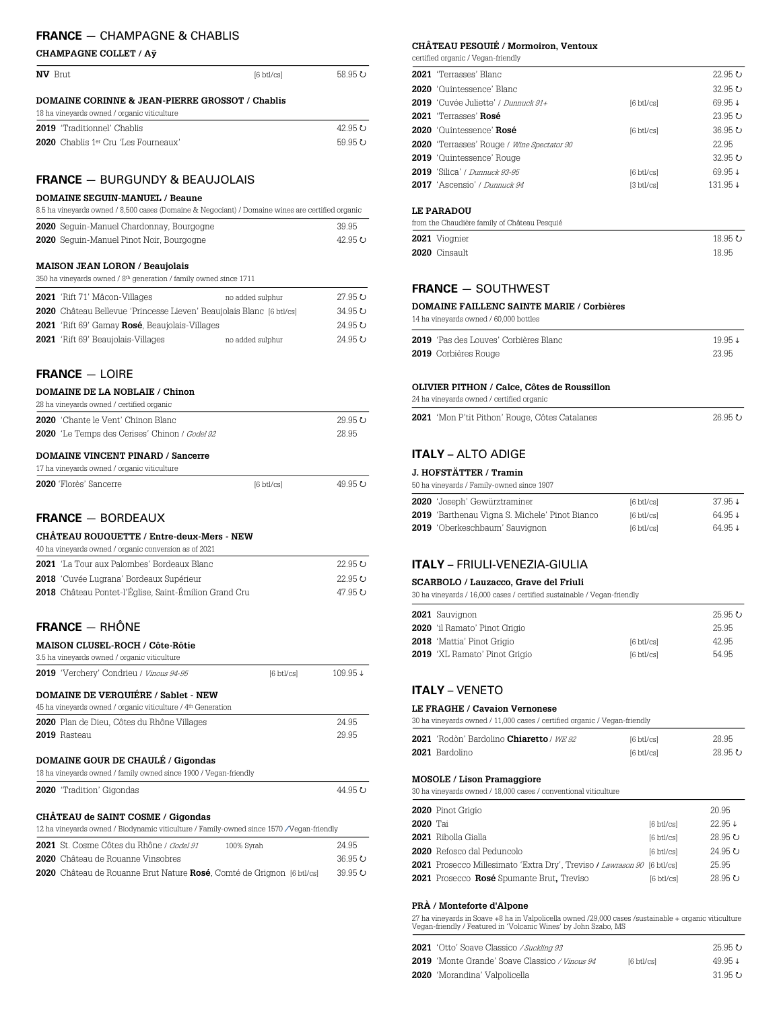## **FRANCE** — CHAMPAGNE & CHABLIS

#### **CHAMPAGNE COLLET / Aÿ**

| <b>NV</b> Brut |                                                                                                | $6 \text{ btl/csl}$ | 58.95 U |  |
|----------------|------------------------------------------------------------------------------------------------|---------------------|---------|--|
|                | DOMAINE CORINNE & JEAN-PIERRE GROSSOT / Chablis<br>18 ha vineyards owned / organic viticulture |                     |         |  |
|                | <b>2019</b> 'Traditionnel' Chablis                                                             |                     | 42.95 U |  |
|                | <b>2020</b> Chablis 1 <sup>er</sup> Cru 'Les Fourneaux'                                        |                     | 59.95 U |  |

### **FRANCE** — BURGUNDY & BEAUJOLAIS

### **DOMAINE SEGUIN-MANUEL / Beaune**

| 8.5 ha vineyards owned / 8.500 cases (Domaine & Negociant) / Domaine wines are certified organic |       |
|--------------------------------------------------------------------------------------------------|-------|
| 2020 Sequin-Manuel Chardonnay, Bourgogne                                                         | 39.95 |

| <b>AVAV</b> DOGUILI IVIDITIOSI OHDITOOIHIO , DOUTGOGHO | ,,,,,,,, |
|--------------------------------------------------------|----------|
| 2020 Sequin-Manuel Pinot Noir, Bourgogne               | 42.95 ひ  |

### **MAISON JEAN LORON / Beaujolais**

350 ha vineyards owned / 8th generation / family owned since 1711

| 2021 'Rift 71' Mâcon-Villages                                        | no added sulphur | 27.95 U   |
|----------------------------------------------------------------------|------------------|-----------|
| 2020 Château Bellevue 'Princesse Lieven' Beaujolais Blanc [6 btl/cs] |                  | 34.95 U   |
| <b>2021</b> 'Rift 69' Gamay Rosé, Beaujolais-Villages                |                  | $24.95$ C |
| <b>2021</b> 'Rift 69' Beaujolais-Villages                            | no added sulphur | $24.95$ C |

### **FRANCE**— LOIRE

#### **DOMAINE DE LA NOBLAIE / Chinon**

| 28 ha vinevards owned / certified organic            |       |
|------------------------------------------------------|-------|
| <b>2020</b> 'Chante le Vent' Chinon Blanc            | 2995C |
| <b>2020</b> 'Le Temps des Cerises' Chinon / Godel 92 | 28.95 |

### **DOMAINE VINCENT PINARD / Sancerre**

| 17 ha vineyards owned / organic viticulture |                     |         |
|---------------------------------------------|---------------------|---------|
| <b>2020</b> 'Florès' Sancerre               | $6 \text{ btl/csl}$ | 49.95 U |

### **FRANCE**— BORDEAUX

### **CHÂTEAU ROUQUETTE / Entre-deux-Mers - NEW**

| 40 ha vineyards owned / organic conversion as of 2021 |                                                   |              |
|-------------------------------------------------------|---------------------------------------------------|--------------|
|                                                       | <b>2021</b> 'La Tour aux Palombes' Bordeaux Blanc | $22.95 \cup$ |

| 2018 'Cuvée Lugrana' Bordeaux Supérieur                      | 22.95 U |
|--------------------------------------------------------------|---------|
| <b>2018</b> Château Pontet-l'Église, Saint-Émilion Grand Cru | 47.95 U |

### **FRANCE** — RHÔNE

| MAISON CLUSEL-ROCH / Côte-Rôtie<br>3.5 ha vineyards owned / organic viticulture                                                |                     |         |  |
|--------------------------------------------------------------------------------------------------------------------------------|---------------------|---------|--|
| 2019 'Verchery' Condrieu / Vinous 94-95                                                                                        | $6 \text{ btl/csl}$ | 109.95↓ |  |
| <b>DOMAINE DE VERQUIÉRE / Sablet - NEW</b><br>45 ha vineyards owned / organic viticulture / 4 <sup>th</sup> Generation         |                     |         |  |
| <b>2020</b> Plan de Dieu, Côtes du Rhône Villages                                                                              |                     | 24.95   |  |
| 2019 Rasteau                                                                                                                   |                     | 29.95   |  |
| <b>DOMAINE GOUR DE CHAULÉ / Gigondas</b><br>18 ha vineyards owned / family owned since 1900 / Vegan-friendly                   |                     |         |  |
| <b>2020</b> "Tradition" Gigondas                                                                                               |                     | 44.95 U |  |
| CHÂTEAU de SAINT COSME / Gigondas<br>12 ha vineyards owned / Biodynamic viticulture / Family-owned since 1570 / Vegan-friendly |                     |         |  |
| 2021 St. Cosme Côtes du Rhône / Godel 91                                                                                       | 100% Syrah          | 24.95   |  |

| 2020 Château de Rouanne Vinsobres                                            | 36.95 U |
|------------------------------------------------------------------------------|---------|
| <b>2020</b> Château de Rouanne Brut Nature Rosé, Comté de Grignon [6 btl/cs] | 39.95 U |

### **CHÂTEAU PESQUIÉ / Mormoiron, Ventoux**

certified organic / Vegan-friendly

| 2021 'Terrasses' Blanc                            |                               | $22.95 \cup$       |
|---------------------------------------------------|-------------------------------|--------------------|
| 2020 'Ouintessence' Blanc                         |                               | $32.95 \cup$       |
| 2019 'Cuvée Juliette' / Dunnuck 91+               | $[6 \text{ btl/cs}]$          | $69.95 \downarrow$ |
| 2021 'Terrasses' Rosé                             |                               | $23.95 \cup$       |
| 2020 'Ouintessence' Rosé                          | $6 \text{ btl/csl}$           | $36.95 \cup$       |
| <b>2020</b> 'Terrasses' Rouge / Wine Spectator 90 |                               | 22.95              |
| <b>2019</b> 'Quintessence' Rouge                  |                               | $32.95 \cup$       |
| <b>2019</b> 'Silica' / Dunnuck 93-95              | $6 \text{ btl}$ cs $\text{l}$ | $69.95 \downarrow$ |
| 2017 'Ascensio' / Dunnuck 94                      | [3 btl/cs]                    | 131.95↓            |
| <b>LE PARADOU</b>                                 |                               |                    |
| from the Chaudière family of Château Pesquié      |                               |                    |
| 2021 Viocnier                                     |                               | 18.95 U            |

### **FRANCE** — SOUTHWEST

#### **DOMAINE FAILLENC SAINTE MARIE / Corbières**

14 ha vineyards owned / 60,000 bottles

| <b>2019</b> 'Pas des Louves' Corbières Blanc | $19.95 \downarrow$ |
|----------------------------------------------|--------------------|
| 2019 Corbières Rouge                         | 23.95              |

**2020** Cinsault 18.95

#### **OLIVIER PITHON / Calce, Côtes de Roussillon**

24 ha vineyards owned / certified organic

|  | <b>2021</b> 'Mon P'tit Pithon' Rouge, Côtes Catalanes |  | $26.95$ $\circ$ |
|--|-------------------------------------------------------|--|-----------------|
|--|-------------------------------------------------------|--|-----------------|

### **ITALY –** ALTO ADIGE

### **J. HOFSTÄTTER / Tramin**

| 50 ha vineyards / Family-owned since 1907             |                        |                    |
|-------------------------------------------------------|------------------------|--------------------|
| <b>2020</b> 'Joseph' Gewürztraminer                   | $6 \text{ btl/csl}$    | $37.95 \downarrow$ |
| <b>2019</b> 'Barthenau Vigna S. Michele' Pinot Bianco | $6 \text{ btl/csl}$    | $64.95 \downarrow$ |
| 2019 'Oberkeschbaum' Sauvignon                        | $6 \text{ btl}$ cs $1$ | $64.95 \downarrow$ |

### **ITALY** – FRIULI-VENEZIA-GIULIA

**SCARBOLO / Lauzacco, Grave del Friuli**

30 ha vineyards / 16,000 cases / certified sustainable / Vegan-friendly

|                                                                                                                                     | 25.95 U                       |
|-------------------------------------------------------------------------------------------------------------------------------------|-------------------------------|
|                                                                                                                                     | 25.95                         |
|                                                                                                                                     | 42.95                         |
| $6 \text{ btl/csl}$                                                                                                                 | 54.95                         |
| <b>2021</b> Sauvignon<br><b>2020</b> 'il Ramato' Pinot Grigio<br><b>2018</b> 'Mattia' Pinot Grigio<br>2019 'XL Ramato' Pinot Grigio | $6 \text{ btl}$ cs $\text{l}$ |

### **ITALY** – VENETO

#### **LE FRAGHE / Cavaion Vernonese**

30 ha vineyards owned / 11,000 cases / certified organic / Vegan-friendly

| <b>2021</b> 'Rodòn' Bardolino <b>Chiaretto</b> / <i>WE 92</i> | [6 btl/cs] | 28.95   |
|---------------------------------------------------------------|------------|---------|
| <b>2021</b> Bardolino                                         | [6 btl/cs] | 28.95 ひ |
|                                                               |            |         |

#### **MOSOLE / Lison Pramaggiore**

30 ha vineyards owned / 18,000 cases / conventional viticulture

|          | 2020 Pinot Grigio                                                                     |                        | 20.95              |
|----------|---------------------------------------------------------------------------------------|------------------------|--------------------|
| 2020 Tai |                                                                                       | $[6 \text{ btl/cs}]$   | $22.95 \downarrow$ |
|          | <b>2021</b> Ribolla Gialla                                                            | $6 \text{ btl/csl}$    | 28.95 U            |
|          | <b>2020</b> Refosco dal Peduncolo                                                     | $6 \text{ btl}$ cs $1$ | $24.95$ $\cup$     |
|          | <b>2021</b> Prosecco Millesimato 'Extra Dry', Treviso <i>I Lawrason 90</i> [6 btl/cs] |                        | 25.95              |
|          | 2021 Prosecco Rosé Spumante Brut, Treviso                                             | $6 \text{ btl/csl}$    | 28.95 U            |
|          |                                                                                       |                        |                    |

#### **PRÀ / Monteforte d'Alpone**

27 ha vineyards in Soave +8 ha in Valpolicella owned /29,000 cases /sustainable + organic viticulture Vegan-friendly / Featured in 'Volcanic Wines' by John Szabo, MS

| 2021 'Otto' Soave Classico / Suckling 93              |                     | 25.95 U            |
|-------------------------------------------------------|---------------------|--------------------|
| <b>2019</b> 'Monte Grande' Soave Classico / Vinous 94 | $6 \text{ btl/csl}$ | 49.95 $\downarrow$ |
| <b>2020</b> 'Morandina' Valpolicella                  |                     | 31.95 U            |